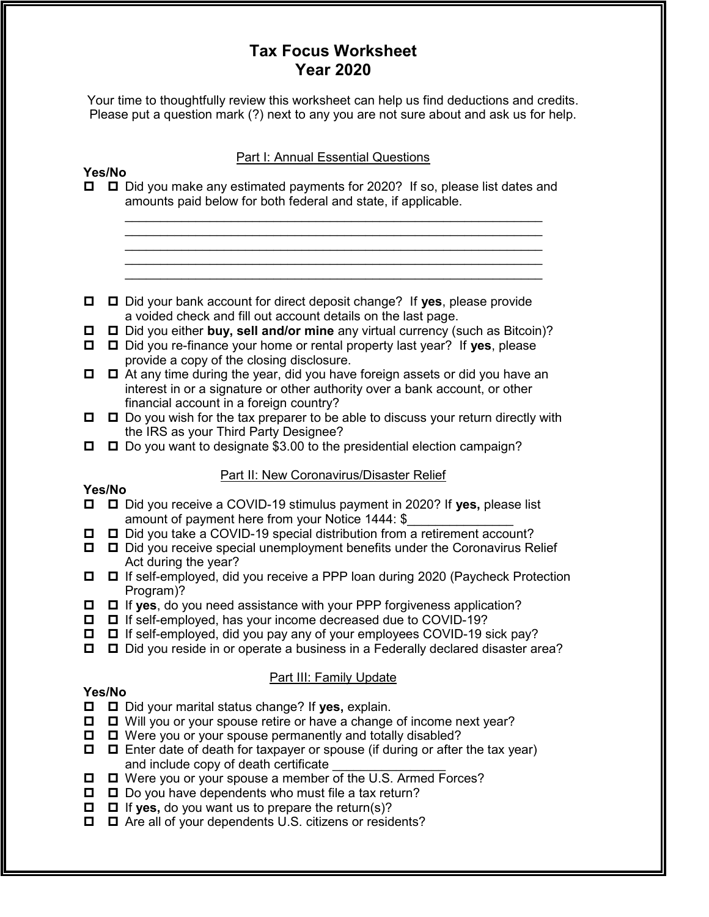# Tax Focus Worksheet Year 2020

Your time to thoughtfully review this worksheet can help us find deductions and credits. Please put a question mark (?) next to any you are not sure about and ask us for help.

## Part I: Annual Essential Questions

 $\mathcal{L}_\text{max}$  , and the contract of the contract of the contract of the contract of the contract of the contract of the contract of the contract of the contract of the contract of the contract of the contract of the contr

 $\mathcal{L}_\text{max}$  , and the contract of the contract of the contract of the contract of the contract of the contract of the contract of the contract of the contract of the contract of the contract of the contract of the contr

# Yes/No

- □ □ Did you make any estimated payments for 2020? If so, please list dates and amounts paid below for both federal and state, if applicable.
- $\Box$   $\Box$  Did your bank account for direct deposit change? If yes, please provide a voided check and fill out account details on the last page.
- $\Box$   $\Box$  Did you either buy, sell and/or mine any virtual currency (such as Bitcoin)?
- $\Box$   $\Box$  Did you re-finance your home or rental property last year? If yes, please provide a copy of the closing disclosure.
- $\Box$   $\Box$  At any time during the year, did you have foreign assets or did you have an interest in or a signature or other authority over a bank account, or other financial account in a foreign country?
- $\Box$   $\Box$  Do you wish for the tax preparer to be able to discuss your return directly with the IRS as your Third Party Designee?
- $\Box$   $\Box$  Do you want to designate \$3.00 to the presidential election campaign?

# Part II: New Coronavirus/Disaster Relief

# Yes/No

- □ □ Did you receive a COVID-19 stimulus payment in 2020? If yes, please list amount of payment here from your Notice 1444: \$
- □ □ Did you take a COVID-19 special distribution from a retirement account?
- $\Box$   $\Box$  Did you receive special unemployment benefits under the Coronavirus Relief Act during the year?
- If self-employed, did you receive a PPP loan during 2020 (Paycheck Protection Program)?
- $\Box$   $\Box$  If yes, do you need assistance with your PPP forgiveness application?
- $\Box$   $\Box$  If self-employed, has your income decreased due to COVID-19?
- $\Box$   $\Box$  If self-employed, did you pay any of your employees COVID-19 sick pay?
- $\Box$   $\Box$  Did you reside in or operate a business in a Federally declared disaster area?

# Part III: Family Update

## Yes/No

- $\Box$   $\Box$  Did your marital status change? If yes, explain.
- $\Box$   $\Box$  Will you or your spouse retire or have a change of income next year?
- $\Box$   $\Box$  Were you or your spouse permanently and totally disabled?
- $\Box$   $\Box$  Enter date of death for taxpayer or spouse (if during or after the tax year) and include copy of death certificate
- $\Box$   $\Box$  Were you or your spouse a member of the U.S. Armed Forces?
- $\Box$   $\Box$  Do you have dependents who must file a tax return?
- $\Box$   $\Box$  If yes, do you want us to prepare the return(s)?
- $\Box$   $\Box$  Are all of your dependents U.S. citizens or residents?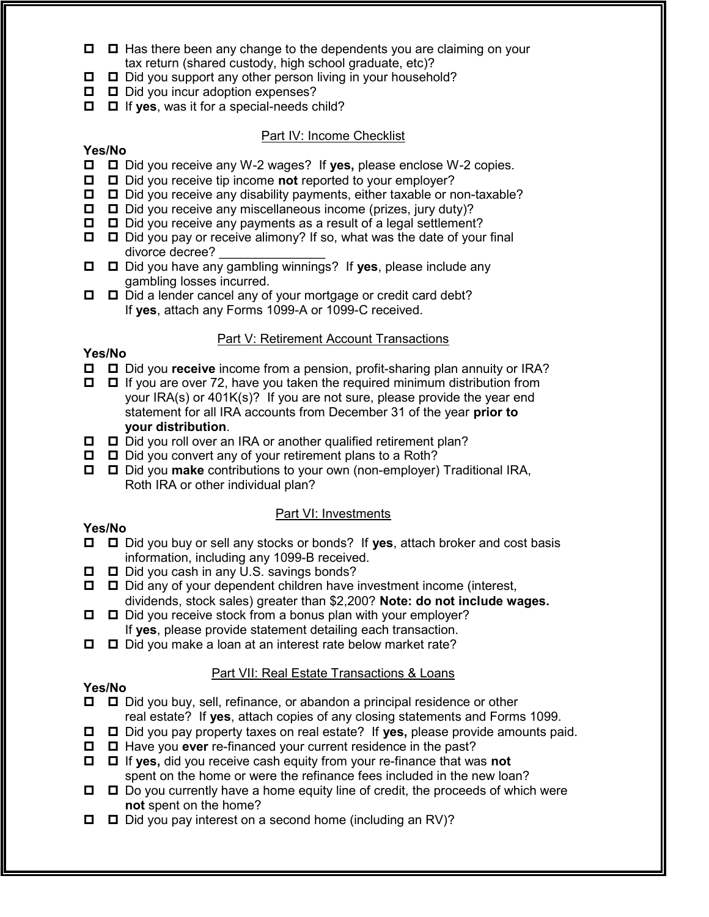- $\Box$   $\Box$  Has there been any change to the dependents you are claiming on your tax return (shared custody, high school graduate, etc)?
- $\Box$   $\Box$  Did you support any other person living in your household?
- D Did you incur adoption expenses?
- $\Box$   $\Box$  If yes, was it for a special-needs child?

## Part IV: Income Checklist

## Yes/No

- $\Box$   $\Box$  Did you receive any W-2 wages? If yes, please enclose W-2 copies.
- $\Box$   $\Box$  Did you receive tip income **not** reported to your employer?
- $\Box$   $\Box$  Did you receive any disability payments, either taxable or non-taxable?
- $\Box$   $\Box$  Did you receive any miscellaneous income (prizes, jury duty)?
- $\Box$   $\Box$  Did you receive any payments as a result of a legal settlement?
- $\Box$   $\Box$  Did you pay or receive alimony? If so, what was the date of your final divorce decree? \_\_\_\_\_\_\_\_\_\_\_\_\_\_\_
- $\Box$   $\Box$  Did you have any gambling winnings? If yes, please include any gambling losses incurred.
- $\Box$   $\Box$  Did a lender cancel any of your mortgage or credit card debt? If yes, attach any Forms 1099-A or 1099-C received.

## Part V: Retirement Account Transactions

## Yes/No

- $\Box$   $\Box$  Did you **receive** income from a pension, profit-sharing plan annuity or IRA?
- $\Box$   $\Box$  If you are over 72, have you taken the required minimum distribution from your IRA(s) or 401K(s)? If you are not sure, please provide the year end statement for all IRA accounts from December 31 of the year prior to your distribution.
- $\Box$   $\Box$  Did you roll over an IRA or another qualified retirement plan?
- $\Box$   $\Box$  Did you convert any of your retirement plans to a Roth?
- □ □ Did you make contributions to your own (non-employer) Traditional IRA, Roth IRA or other individual plan?

## Part VI: Investments

## Yes/No

- $\Box$   $\Box$  Did you buy or sell any stocks or bonds? If yes, attach broker and cost basis information, including any 1099-B received.
- $\Box$   $\Box$  Did you cash in any U.S. savings bonds?
- $\Box$   $\Box$  Did any of your dependent children have investment income (interest, dividends, stock sales) greater than \$2,200? Note: do not include wages.
- $\Box$   $\Box$  Did you receive stock from a bonus plan with your employer? If yes, please provide statement detailing each transaction.
- $\Box$   $\Box$  Did you make a loan at an interest rate below market rate?

## Part VII: Real Estate Transactions & Loans

## Yes/No

- Did you buy, sell, refinance, or abandon a principal residence or other real estate? If yes, attach copies of any closing statements and Forms 1099.
- $\Box$   $\Box$  Did you pay property taxes on real estate? If yes, please provide amounts paid.
- $\Box$   $\Box$  Have you ever re-financed your current residence in the past?
- $\Box$   $\Box$  If yes, did you receive cash equity from your re-finance that was not spent on the home or were the refinance fees included in the new loan?
- $\Box$   $\Box$  Do you currently have a home equity line of credit, the proceeds of which were not spent on the home?
- $\Box$   $\Box$  Did you pay interest on a second home (including an RV)?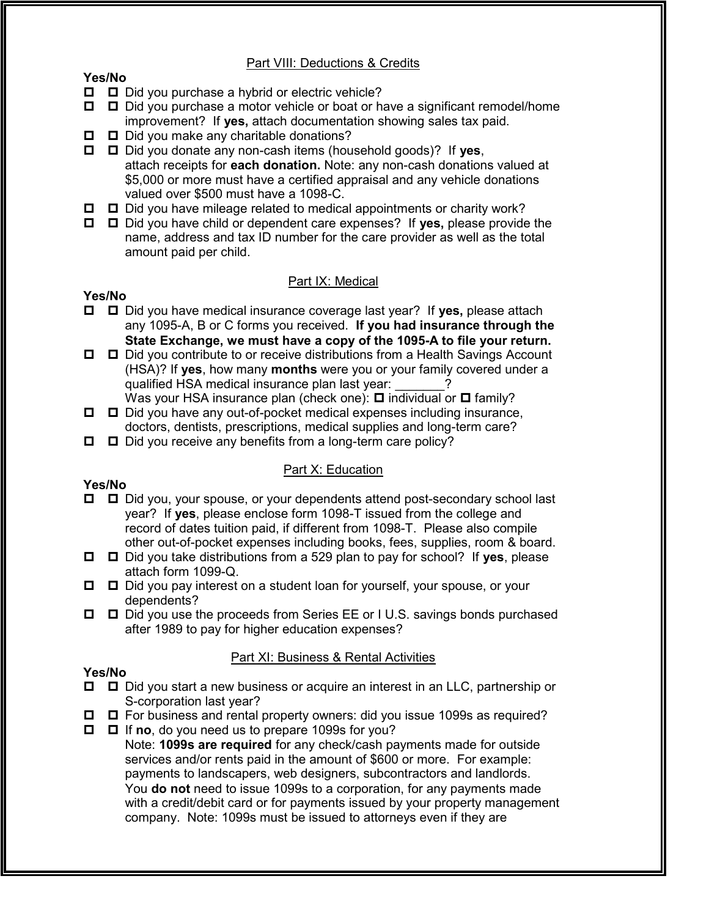## Part VIII: Deductions & Credits

#### Yes/No

- $\Box$   $\Box$  Did you purchase a hybrid or electric vehicle?
- **□** □ Did you purchase a motor vehicle or boat or have a significant remodel/home improvement? If yes, attach documentation showing sales tax paid.
- $\Box$   $\Box$  Did you make any charitable donations?

 $\Box$   $\Box$  Did you donate any non-cash items (household goods)? If yes, attach receipts for each donation. Note: any non-cash donations valued at \$5,000 or more must have a certified appraisal and any vehicle donations valued over \$500 must have a 1098-C.

- $\Box$   $\Box$  Did you have mileage related to medical appointments or charity work?
- $\Box$   $\Box$  Did you have child or dependent care expenses? If yes, please provide the name, address and tax ID number for the care provider as well as the total amount paid per child.

## Part IX: Medical

#### Yes/No

- **□** □ Did you have medical insurance coverage last year? If yes, please attach any 1095-A, B or C forms you received. If you had insurance through the State Exchange, we must have a copy of the 1095-A to file your return.
- Did you contribute to or receive distributions from a Health Savings Account (HSA)? If yes, how many months were you or your family covered under a qualified HSA medical insurance plan last year:
- Was your HSA insurance plan (check one):  $\Box$  individual or  $\Box$  family?  $\Box$   $\Box$  Did you have any out-of-pocket medical expenses including insurance,
- doctors, dentists, prescriptions, medical supplies and long-term care?

# $\Box$   $\Box$  Did you receive any benefits from a long-term care policy?

## Part X: Education

## Yes/No

- Did you, your spouse, or your dependents attend post-secondary school last year? If yes, please enclose form 1098-T issued from the college and record of dates tuition paid, if different from 1098-T. Please also compile other out-of-pocket expenses including books, fees, supplies, room & board.
- $\Box$   $\Box$  Did you take distributions from a 529 plan to pay for school? If yes, please attach form 1099-Q.
- Did you pay interest on a student loan for yourself, your spouse, or your dependents?
- $\Box$   $\Box$  Did you use the proceeds from Series EE or I U.S. savings bonds purchased after 1989 to pay for higher education expenses?

## Part XI: Business & Rental Activities

#### Yes/No

- $\Box$   $\Box$  Did you start a new business or acquire an interest in an LLC, partnership or S-corporation last year?
- $\Box$   $\Box$  For business and rental property owners: did you issue 1099s as required?
- $\Box$   $\Box$  If no, do you need us to prepare 1099s for you?

Note: 1099s are required for any check/cash payments made for outside services and/or rents paid in the amount of \$600 or more. For example: payments to landscapers, web designers, subcontractors and landlords. You **do not** need to issue 1099s to a corporation, for any payments made with a credit/debit card or for payments issued by your property management company. Note: 1099s must be issued to attorneys even if they are